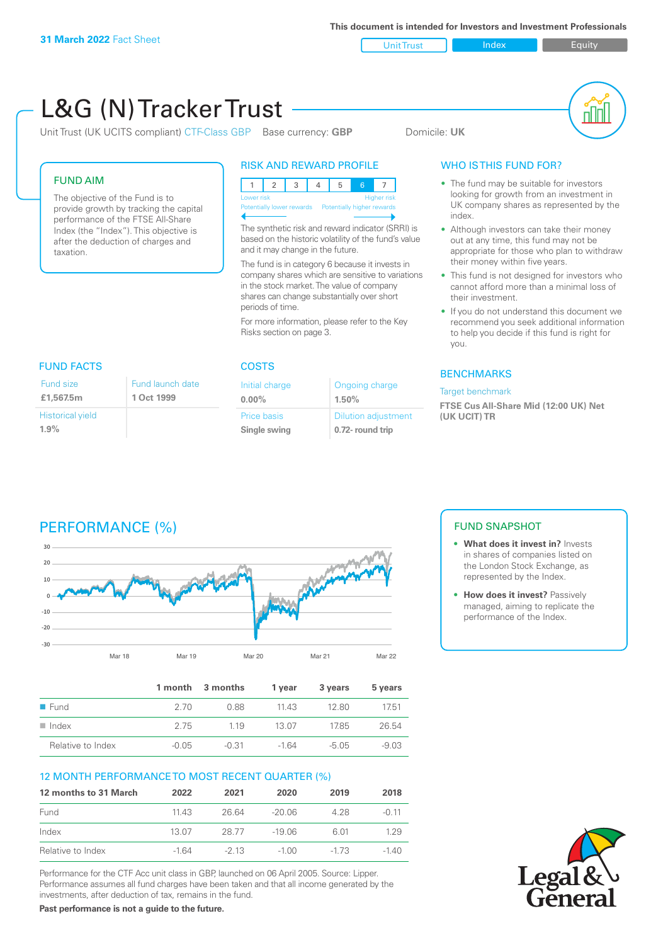Unit Trust Index **Index** Equity

#### L&G (N) Tracker Trust nN Unit Trust (UK UCITS compliant) CTF-Class GBP Base currency: **GBP** Domicile: UK RISK AND REWARD PROFILE WHO IS THIS FUND FOR? FUND AIM • The fund may be suitable for investors 12345 6 7 looking for growth from an investment in The objective of the Fund is to Lower risk and the contract of the Higher risk UK company shares as represented by the provide growth by tracking the capital Potentially lower rewards Potentially higher rewards index. performance of the FTSE All-Share The synthetic risk and reward indicator (SRRI) is Index (the "Index"). This objective is • Although investors can take their money based on the historic volatility of the fund's value out at any time, this fund may not be after the deduction of charges and and it may change in the future. appropriate for those who plan to withdraw taxation. their money within five years. The fund is in category 6 because it invests in company shares which are sensitive to variations • This fund is not designed for investors who in the stock market. The value of company cannot afford more than a minimal loss of shares can change substantially over short their investment. periods of time. If you do not understand this document we recommend you seek additional information For more information, please refer to the Key Risks section on page 3. to help you decide if this fund is right for you. FUND FACTS COSTS BENCHMARKS Fund size Fund launch date Initial charge Ongoing charge Target benchmark **£1,567.5m1 Oct 1999 0.00% 1.50% FTSE Cus All-Share Mid (12:00 UK) Net**  Historical yield Dilution adjustment Price basis **(UK UCIT) TR 1.9% Single swing 0.72- round trip** PERFORMANCE (%) FUND SNAPSHOT **• What does it invest in?** Invests **30** in shares of companies listed on **20** the London Stock Exchange, as represented by the Index. **10 • How does it invest?** Passively **0** managed, aiming to replicate the **-10** performance of the Index. **-20 -30** Mar 18 Mar 19 Mar 20 Mar 21 Mar 22 **1 month 3 months 1 year 3 years 5 years** n Fund 2.70 0.88 11.43 12.80 17.51 n Index 2.75 1.19 13.07 17.85 26.54 Relative to Index  $-0.05$   $-0.31$   $-1.64$   $-5.05$   $-9.03$ 12 MONTH PERFORMANCE TO MOST RECENT QUARTER (%) **12 months to 31 March 2022 2021 2020 2019 2018** Fund 11.43 26.64 -20.06 4.28 -0.11 Index 13.07 28.77 -19.06 6.01 1.29 Relative to Index -1.64 -2.13 -1.00 -1.73 -1.40

Performance for the CTF Acc unit class in GBP, launched on 06 April 2005. Source: Lipper. Performance assumes all fund charges have been taken and that all income generated by the investments, after deduction of tax, remains in the fund.

**Past performance is not a guide to the future.**



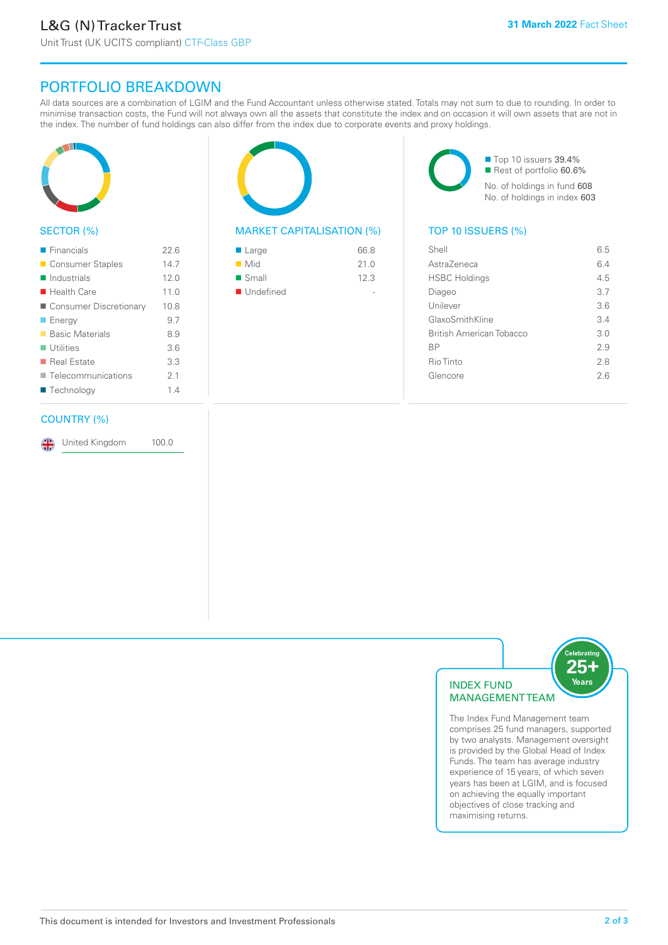# PORTFOLIO BREAKDOWN

All data sources are a combination of LGIM and the Fund Accountant unless otherwise stated. Totals may not sum to due to rounding. In order to minimise transaction costs, the Fund will not always own all the assets that constitute the index and on occasion it will own assets that are not in the index. The number of fund holdings can also differ from the index due to corporate events and proxy holdings.



# SECTOR (%)

| $\blacksquare$ Financials  | 22.6 |
|----------------------------|------|
| ■ Consumer Staples         | 14.7 |
| $\blacksquare$ Industrials | 12.0 |
| $\blacksquare$ Health Care | 11.0 |
| Consumer Discretionary     | 10.8 |
| ■ Energy                   | 9.7  |
| <b>Basic Materials</b>     | 8.9  |
| $\blacksquare$ Utilities   | 3.6  |
| ■ Real Estate              | 3.3  |
| Telecommunications         | 21   |
| ■ Technology               | 14   |
|                            |      |

### COUNTRY (%)

United Kingdom 100.0



# MARKET CAPITALISATION (%) TOP 10 ISSUERS (%)

| ■ Large            | 66.8 |
|--------------------|------|
| $\blacksquare$ Mid | 21.0 |
| ■ Small            | 12.3 |
| ■ Undefined        |      |

■ Top 10 issuers 39.4% Rest of portfolio 60.6% No. of holdings in fund 608 No. of holdings in index 603

| Shell                    | 6.5 |
|--------------------------|-----|
| AstraZeneca              | 64  |
| <b>HSBC Holdings</b>     | 4.5 |
| Diageo                   | 37  |
| Unilever                 | 3.6 |
| GlaxoSmithKline          | 3.4 |
| British American Tobacco | 3.0 |
| <b>BP</b>                | 2.9 |
| Rio Tinto                | 2.8 |
| Glencore                 | 2.6 |
|                          |     |



The Index Fund Management team comprises 25 fund managers, supported by two analysts. Management oversight is provided by the Global Head of Index Funds. The team has average industry experience of 15 years, of which seven years has been at LGIM, and is focused on achieving the equally important objectives of close tracking and maximising returns.